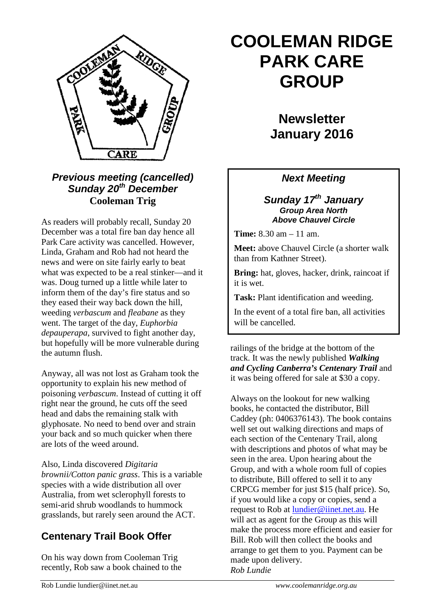

*Previous meeting (cancelled) Sunday 20th December* **Cooleman Trig**

As readers will probably recall, Sunday 20 December was a total fire ban day hence all Park Care activity was cancelled. However, Linda, Graham and Rob had not heard the news and were on site fairly early to beat what was expected to be a real stinker—and it was. Doug turned up a little while later to inform them of the day's fire status and so they eased their way back down the hill, weeding *verbascum* and *fleabane* as they went. The target of the day, *Euphorbia depauperapa*, survived to fight another day, but hopefully will be more vulnerable during the autumn flush.

Anyway, all was not lost as Graham took the opportunity to explain his new method of poisoning *verbascum*. Instead of cutting it off right near the ground, he cuts off the seed head and dabs the remaining stalk with glyphosate. No need to bend over and strain your back and so much quicker when there are lots of the weed around.

Also, Linda discovered *Digitaria brownii/Cotton panic grass*. This is a variable species with a wide distribution all over Australia, from wet sclerophyll forests to semi-arid shrub woodlands to hummock grasslands, but rarely seen around the ACT.

## **Centenary Trail Book Offer**

On his way down from Cooleman Trig recently, Rob saw a book chained to the

# **COOLEMAN RIDGE PARK CARE GROUP**

**Newsletter January 2016** 

### *Next Meeting*

#### *Sunday 17th January Group Area North Above Chauvel Circle*

**Time:** 8.30 am – 11 am.

**Meet:** above Chauvel Circle (a shorter walk than from Kathner Street).

**Bring:** hat, gloves, hacker, drink, raincoat if it is wet.

**Task:** Plant identification and weeding.

In the event of a total fire ban, all activities will be cancelled.

railings of the bridge at the bottom of the track. It was the newly published *Walking and Cycling Canberra's Centenary Trail* and it was being offered for sale at \$30 a copy.

Always on the lookout for new walking books, he contacted the distributor, Bill Caddey (ph: 0406376143). The book contains well set out walking directions and maps of each section of the Centenary Trail, along with descriptions and photos of what may be seen in the area. Upon hearing about the Group, and with a whole room full of copies to distribute, Bill offered to sell it to any CRPCG member for just \$15 (half price). So, if you would like a copy or copies, send a request to Rob at [lundier@iinet.net.au.](mailto:lundier@iinet.net.au) He will act as agent for the Group as this will make the process more efficient and easier for Bill. Rob will then collect the books and arrange to get them to you. Payment can be made upon delivery. *Rob Lundie*